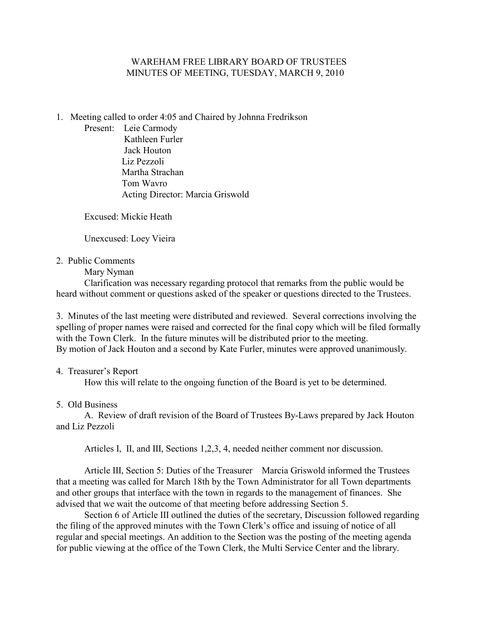## WAREHAM FREE LIBRARY BOARD OF TRUSTEES MINUTES OF MEETING, TUESDAY, MARCH 9, 2010

- 1. Meeting called to order 4:05 and Chaired by Johnna Fredrikson
	- Present: Leie Carmody Kathleen Furler Jack Houton Liz Pezzoli Martha Strachan Tom Wavro Acting Director: Marcia Griswold

Excused: Mickie Heath

Unexcused: Loey Vieira

2. Public Comments

Mary Nyman

Clarification was necessary regarding protocol that remarks from the public would be heard without comment or questions asked of the speaker or questions directed to the Trustees.

3. Minutes of the last meeting were distributed and reviewed. Several corrections involving the spelling of proper names were raised and corrected for the final copy which will be filed formally with the Town Clerk. In the future minutes will be distributed prior to the meeting. By motion of Jack Houton and a second by Kate Furler, minutes were approved unanimously.

# 4. Treasurer's Report

How this will relate to the ongoing function of the Board is yet to be determined.

5. Old Business

A. Review of draft revision of the Board of Trustees By-Laws prepared by Jack Houton and Liz Pezzoli

Articles I, II, and III, Sections 1,2,3, 4, needed neither comment nor discussion.

 Article III, Section 5: Duties of the Treasurer Marcia Griswold informed the Trustees that a meeting was called for March 18th by the Town Administrator for all Town departments and other groups that interface with the town in regards to the management of finances. She advised that we wait the outcome of that meeting before addressing Section 5.

Section 6 of Article III outlined the duties of the secretary, Discussion followed regarding the filing of the approved minutes with the Town Clerk's office and issuing of notice of all regular and special meetings. An addition to the Section was the posting of the meeting agenda for public viewing at the office of the Town Clerk, the Multi Service Center and the library.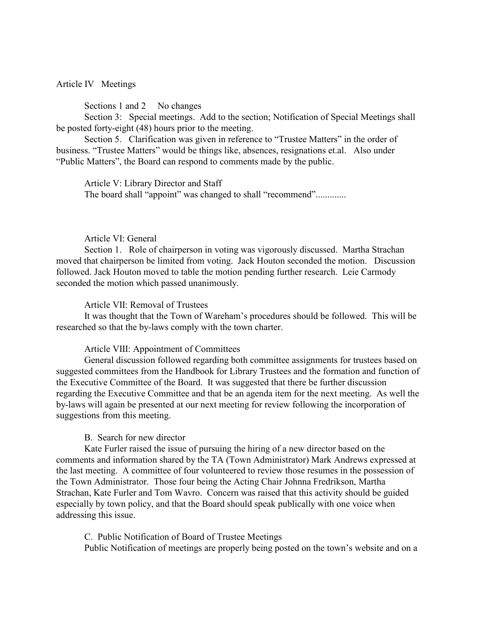### Article IV Meetings

Sections 1 and 2 No changes

Section 3: Special meetings. Add to the section; Notification of Special Meetings shall be posted forty-eight (48) hours prior to the meeting.

Section 5. Clarification was given in reference to "Trustee Matters" in the order of business. "Trustee Matters" would be things like, absences, resignations et.al. Also under "Public Matters", the Board can respond to comments made by the public.

Article V: Library Director and Staff The board shall "appoint" was changed to shall "recommend".............

### Article VI: General

Section 1. Role of chairperson in voting was vigorously discussed. Martha Strachan moved that chairperson be limited from voting. Jack Houton seconded the motion. Discussion followed. Jack Houton moved to table the motion pending further research. Leie Carmody seconded the motion which passed unanimously.

Article VII: Removal of Trustees

It was thought that the Town of Wareham's procedures should be followed. This will be researched so that the by-laws comply with the town charter.

#### Article VIII: Appointment of Committees

General discussion followed regarding both committee assignments for trustees based on suggested committees from the Handbook for Library Trustees and the formation and function of the Executive Committee of the Board. It was suggested that there be further discussion regarding the Executive Committee and that be an agenda item for the next meeting. As well the by-laws will again be presented at our next meeting for review following the incorporation of suggestions from this meeting.

### B. Search for new director

Kate Furler raised the issue of pursuing the hiring of a new director based on the comments and information shared by the TA (Town Administrator) Mark Andrews expressed at the last meeting. A committee of four volunteered to review those resumes in the possession of the Town Administrator. Those four being the Acting Chair Johnna Fredrikson, Martha Strachan, Kate Furler and Tom Wavro. Concern was raised that this activity should be guided especially by town policy, and that the Board should speak publically with one voice when addressing this issue.

C. Public Notification of Board of Trustee Meetings

Public Notification of meetings are properly being posted on the town's website and on a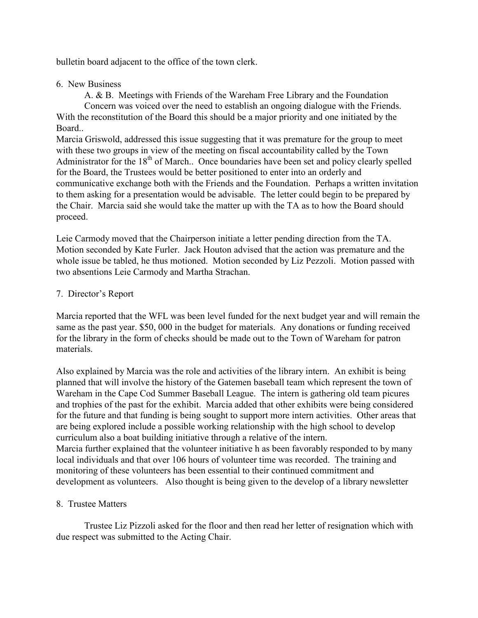bulletin board adjacent to the office of the town clerk.

## 6. New Business

A. & B. Meetings with Friends of the Wareham Free Library and the Foundation Concern was voiced over the need to establish an ongoing dialogue with the Friends. With the reconstitution of the Board this should be a major priority and one initiated by the Board..

Marcia Griswold, addressed this issue suggesting that it was premature for the group to meet with these two groups in view of the meeting on fiscal accountability called by the Town Administrator for the 18<sup>th</sup> of March.. Once boundaries have been set and policy clearly spelled for the Board, the Trustees would be better positioned to enter into an orderly and communicative exchange both with the Friends and the Foundation. Perhaps a written invitation to them asking for a presentation would be advisable. The letter could begin to be prepared by the Chair. Marcia said she would take the matter up with the TA as to how the Board should proceed.

Leie Carmody moved that the Chairperson initiate a letter pending direction from the TA. Motion seconded by Kate Furler. Jack Houton advised that the action was premature and the whole issue be tabled, he thus motioned. Motion seconded by Liz Pezzoli. Motion passed with two absentions Leie Carmody and Martha Strachan.

# 7. Director's Report

Marcia reported that the WFL was been level funded for the next budget year and will remain the same as the past year. \$50, 000 in the budget for materials. Any donations or funding received for the library in the form of checks should be made out to the Town of Wareham for patron materials.

Also explained by Marcia was the role and activities of the library intern. An exhibit is being planned that will involve the history of the Gatemen baseball team which represent the town of Wareham in the Cape Cod Summer Baseball League. The intern is gathering old team picures and trophies of the past for the exhibit. Marcia added that other exhibits were being considered for the future and that funding is being sought to support more intern activities. Other areas that are being explored include a possible working relationship with the high school to develop curriculum also a boat building initiative through a relative of the intern. Marcia further explained that the volunteer initiative h as been favorably responded to by many local individuals and that over 106 hours of volunteer time was recorded. The training and monitoring of these volunteers has been essential to their continued commitment and development as volunteers. Also thought is being given to the develop of a library newsletter

# 8. Trustee Matters

Trustee Liz Pizzoli asked for the floor and then read her letter of resignation which with due respect was submitted to the Acting Chair.